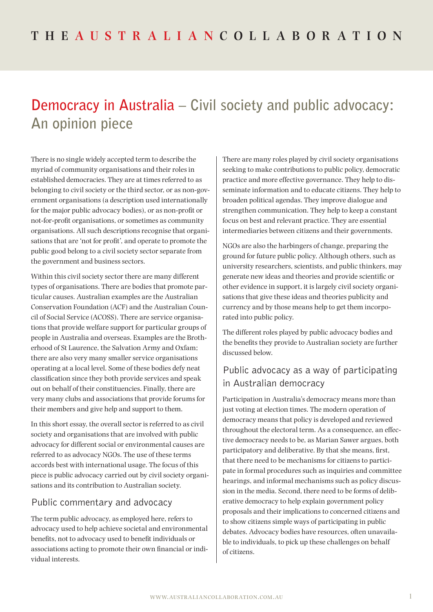# **Democracy in Australia – Civil society and public advocacy: An opinion piece**

There is no single widely accepted term to describe the myriad of community organisations and their roles in established democracies. They are at times referred to as belonging to civil society or the third sector, or as non-government organisations (a description used internationally for the major public advocacy bodies), or as non-profit or not-for-profit organisations, or sometimes as community organisations. All such descriptions recognise that organisations that are 'not for profit', and operate to promote the public good belong to a civil society sector separate from the government and business sectors.

Within this civil society sector there are many different types of organisations. There are bodies that promote particular causes. Australian examples are the Australian Conservation Foundation (ACF) and the Australian Council of Social Service (ACOSS). There are service organisations that provide welfare support for particular groups of people in Australia and overseas. Examples are the Brotherhood of St Laurence, the Salvation Army and Oxfam; there are also very many smaller service organisations operating at a local level. Some of these bodies defy neat classification since they both provide services and speak out on behalf of their constituencies. Finally, there are very many clubs and associations that provide forums for their members and give help and support to them.

In this short essay, the overall sector is referred to as civil society and organisations that are involved with public advocacy for different social or environmental causes are referred to as advocacy NGOs. The use of these terms accords best with international usage. The focus of this piece is public advocacy carried out by civil society organisations and its contribution to Australian society.

### Public commentary and advocacy

The term public advocacy, as employed here, refers to advocacy used to help achieve societal and environmental benefits, not to advocacy used to benefit individuals or associations acting to promote their own financial or individual interests.

There are many roles played by civil society organisations seeking to make contributions to public policy, democratic practice and more effective governance. They help to disseminate information and to educate citizens. They help to broaden political agendas. They improve dialogue and strengthen communication. They help to keep a constant focus on best and relevant practice. They are essential intermediaries between citizens and their governments.

NGOs are also the harbingers of change, preparing the ground for future public policy. Although others, such as university researchers, scientists, and public thinkers, may generate new ideas and theories and provide scientific or other evidence in support, it is largely civil society organisations that give these ideas and theories publicity and currency and by those means help to get them incorporated into public policy.

The different roles played by public advocacy bodies and the benefits they provide to Australian society are further discussed below.

## Public advocacy as a way of participating in Australian democracy

Participation in Australia's democracy means more than just voting at election times. The modern operation of democracy means that policy is developed and reviewed throughout the electoral term. As a consequence, an effective democracy needs to be, as Marian Sawer argues, both participatory and deliberative. By that she means, first, that there need to be mechanisms for citizens to participate in formal procedures such as inquiries and committee hearings, and informal mechanisms such as policy discussion in the media. Second, there need to be forms of deliberative democracy to help explain government policy proposals and their implications to concerned citizens and to show citizens simple ways of participating in public debates. Advocacy bodies have resources, often unavailable to individuals, to pick up these challenges on behalf of citizens.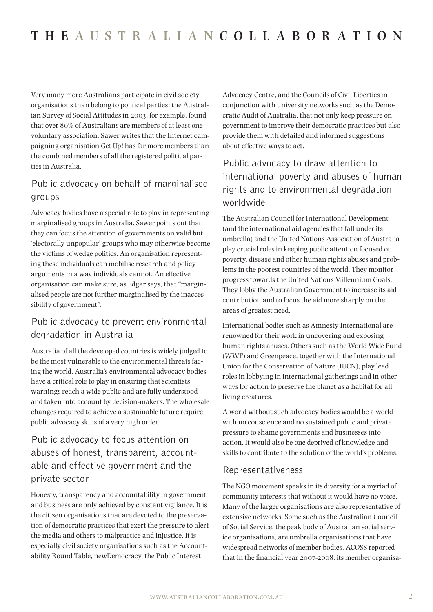Very many more Australians participate in civil society organisations than belong to political parties; the Australian Survey of Social Attitudes in 2003, for example, found that over 80% of Australians are members of at least one voluntary association. Sawer writes that the Internet campaigning organisation Get Up! has far more members than the combined members of all the registered political parties in Australia.

## Public advocacy on behalf of marginalised groups

Advocacy bodies have a special role to play in representing marginalised groups in Australia. Sawer points out that they can focus the attention of governments on valid but 'electorally unpopular' groups who may otherwise become the victims of wedge politics. An organisation representing these individuals can mobilise research and policy arguments in a way individuals cannot. An effective organisation can make sure, as Edgar says, that "marginalised people are not further marginalised by the inaccessibility of government".

## Public advocacy to prevent environmental degradation in Australia

Australia of all the developed countries is widely judged to be the most vulnerable to the environmental threats facing the world. Australia's environmental advocacy bodies have a critical role to play in ensuring that scientists' warnings reach a wide public and are fully understood and taken into account by decision-makers. The wholesale changes required to achieve a sustainable future require public advocacy skills of a very high order.

## Public advocacy to focus attention on abuses of honest, transparent, accountable and effective government and the private sector

Honesty, transparency and accountability in government and business are only achieved by constant vigilance. It is the citizen organisations that are devoted to the preservation of democratic practices that exert the pressure to alert the media and others to malpractice and injustice. It is especially civil society organisations such as the Accountability Round Table, newDemocracy, the Public Interest

Advocacy Centre, and the Councils of Civil Liberties in conjunction with university networks such as the Democratic Audit of Australia, that not only keep pressure on government to improve their democratic practices but also provide them with detailed and informed suggestions about effective ways to act.

# Public advocacy to draw attention to international poverty and abuses of human rights and to environmental degradation worldwide

The Australian Council for International Development (and the international aid agencies that fall under its umbrella) and the United Nations Association of Australia play crucial roles in keeping public attention focused on poverty, disease and other human rights abuses and problems in the poorest countries of the world. They monitor progress towards the United Nations Millennium Goals. They lobby the Australian Government to increase its aid contribution and to focus the aid more sharply on the areas of greatest need.

International bodies such as Amnesty International are renowned for their work in uncovering and exposing human rights abuses. Others such as the World Wide Fund (WWF) and Greenpeace, together with the International Union for the Conservation of Nature (IUCN), play lead roles in lobbying in international gatherings and in other ways for action to preserve the planet as a habitat for all living creatures.

A world without such advocacy bodies would be a world with no conscience and no sustained public and private pressure to shame governments and businesses into action. It would also be one deprived of knowledge and skills to contribute to the solution of the world's problems.

### Representativeness

The NGO movement speaks in its diversity for a myriad of community interests that without it would have no voice. Many of the larger organisations are also representative of extensive networks. Some such as the Australian Council of Social Service, the peak body of Australian social service organisations, are umbrella organisations that have widespread networks of member bodies. ACOSS reported that in the financial year 2007-2008, its member organisa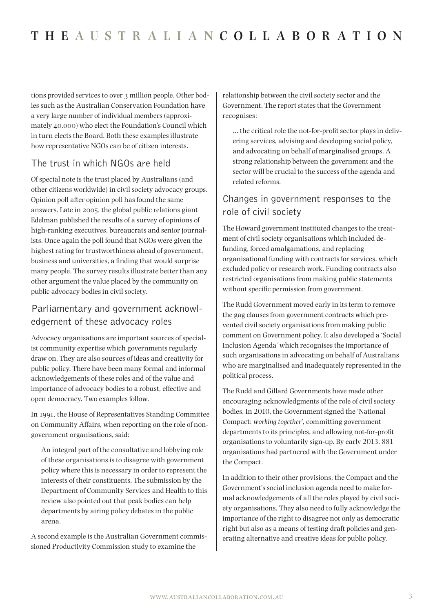tions provided services to over 3 million people. Other bodies such as the Australian Conservation Foundation have a very large number of individual members (approximately 40,000) who elect the Foundation's Council which in turn elects the Board. Both these examples illustrate how representative NGOs can be of citizen interests.

## The trust in which NGOs are held

Of special note is the trust placed by Australians (and other citizens worldwide) in civil society advocacy groups. Opinion poll after opinion poll has found the same answers. Late in 2005, the global public relations giant Edelman published the results of a survey of opinions of high-ranking executives, bureaucrats and senior journalists. Once again the poll found that NGOs were given the highest rating for trustworthiness ahead of government, business and universities, a finding that would surprise many people. The survey results illustrate better than any other argument the value placed by the community on public advocacy bodies in civil society.

## Parliamentary and government acknowledgement of these advocacy roles

Advocacy organisations are important sources of specialist community expertise which governments regularly draw on. They are also sources of ideas and creativity for public policy. There have been many formal and informal acknowledgements of these roles and of the value and importance of advocacy bodies to a robust, effective and open democracy. Two examples follow.

In 1991, the House of Representatives Standing Committee on Community Affairs, when reporting on the role of nongovernment organisations, said:

An integral part of the consultative and lobbying role of these organisations is to disagree with government policy where this is necessary in order to represent the interests of their constituents. The submission by the Department of Community Services and Health to this review also pointed out that peak bodies can help departments by airing policy debates in the public arena.

A second example is the Australian Government commissioned Productivity Commission study to examine the

relationship between the civil society sector and the Government. The report states that the Government recognises:

… the critical role the not-for-profit sector plays in delivering services, advising and developing social policy, and advocating on behalf of marginalised groups. A strong relationship between the government and the sector will be crucial to the success of the agenda and related reforms.

## Changes in government responses to the role of civil society

The Howard government instituted changes to the treatment of civil society organisations which included defunding, forced amalgamations, and replacing organisational funding with contracts for services, which excluded policy or research work. Funding contracts also restricted organisations from making public statements without specific permission from government.

The Rudd Government moved early in its term to remove the gag clauses from government contracts which prevented civil society organisations from making public comment on Government policy. It also developed a 'Social Inclusion Agenda' which recognises the importance of such organisations in advocating on behalf of Australians who are marginalised and inadequately represented in the political process.

The Rudd and Gillard Governments have made other encouraging acknowledgments of the role of civil society bodies. In 2010, the Government signed the 'National Compact: *working together*', committing government departments to its principles, and allowing not-for-profit organisations to voluntarily sign-up. By early 2013, 881 organisations had partnered with the Government under the Compact.

In addition to their other provisions, the Compact and the Government's social inclusion agenda need to make formal acknowledgements of all the roles played by civil society organisations. They also need to fully acknowledge the importance of the right to disagree not only as democratic right but also as a means of testing draft policies and generating alternative and creative ideas for public policy.